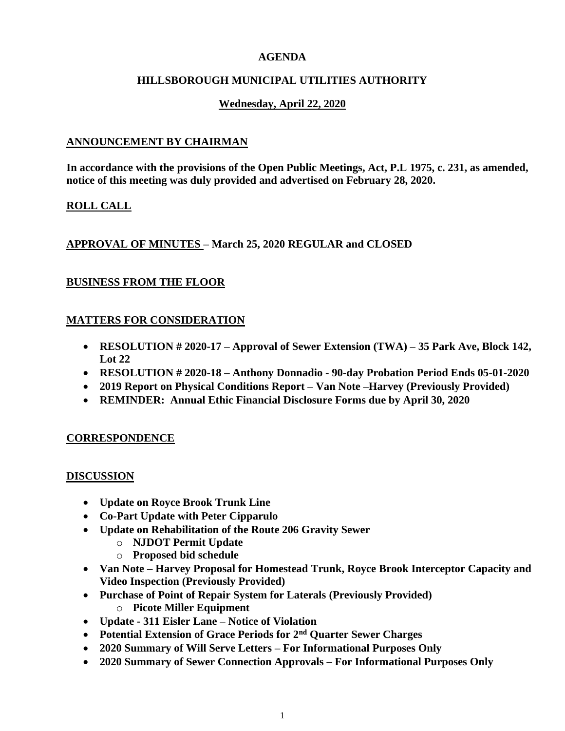## **AGENDA**

## **HILLSBOROUGH MUNICIPAL UTILITIES AUTHORITY**

# **Wednesday, April 22, 2020**

## **ANNOUNCEMENT BY CHAIRMAN**

**In accordance with the provisions of the Open Public Meetings, Act, P.L 1975, c. 231, as amended, notice of this meeting was duly provided and advertised on February 28, 2020.**

# **ROLL CALL**

# **APPROVAL OF MINUTES – March 25, 2020 REGULAR and CLOSED**

# **BUSINESS FROM THE FLOOR**

## **MATTERS FOR CONSIDERATION**

- **RESOLUTION # 2020-17 – Approval of Sewer Extension (TWA) – 35 Park Ave, Block 142, Lot 22**
- **RESOLUTION # 2020-18 – Anthony Donnadio - 90-day Probation Period Ends 05-01-2020**
- **2019 Report on Physical Conditions Report – Van Note –Harvey (Previously Provided)**
- **REMINDER: Annual Ethic Financial Disclosure Forms due by April 30, 2020**

#### **CORRESPONDENCE**

#### **DISCUSSION**

- **Update on Royce Brook Trunk Line**
- **Co-Part Update with Peter Cipparulo**
- **Update on Rehabilitation of the Route 206 Gravity Sewer**
	- o **NJDOT Permit Update**
	- o **Proposed bid schedule**
- **Van Note – Harvey Proposal for Homestead Trunk, Royce Brook Interceptor Capacity and Video Inspection (Previously Provided)**
- **Purchase of Point of Repair System for Laterals (Previously Provided)** o **Picote Miller Equipment**
- **Update - 311 Eisler Lane – Notice of Violation**
- **Potential Extension of Grace Periods for 2nd Quarter Sewer Charges**
- **2020 Summary of Will Serve Letters – For Informational Purposes Only**
- **2020 Summary of Sewer Connection Approvals – For Informational Purposes Only**